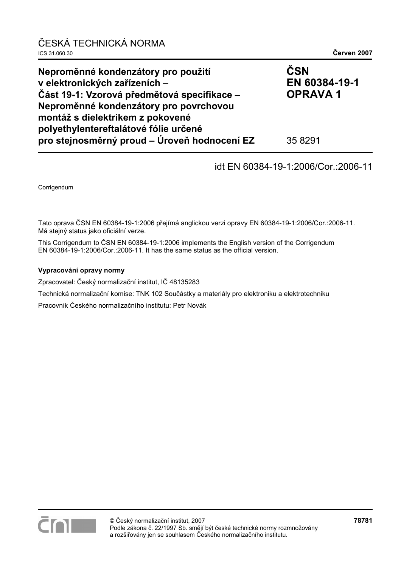| ČESKÁ TECHNICKÁ NORMA<br>ICS 31.060.30                                                                                                                                                                                                     | Červen 2007                            |
|--------------------------------------------------------------------------------------------------------------------------------------------------------------------------------------------------------------------------------------------|----------------------------------------|
| Neproměnné kondenzátory pro použití<br>v elektronických zařízeních -<br>Část 19-1: Vzorová předmětová specifikace –<br>Neproměnné kondenzátory pro povrchovou<br>montáž s dielektrikem z pokovené<br>polyethylentereftalátové fólie určené | ČSN<br>EN 60384-19-1<br><b>OPRAVA1</b> |
| pro stejnosměrný proud – Úroveň hodnocení EZ                                                                                                                                                                                               | 35 8291                                |

## idt EN 60384-19-1:2006/Cor.:2006-11

Corrigendum

Tato oprava ČSN EN 60384-19-1:2006 přejímá anglickou verzi opravy EN 60384-19-1:2006/Cor.:2006-11. Má stejný status jako oficiální verze.

This Corrigendum to ČSN EN 60384-19-1:2006 implements the English version of the Corrigendum EN 60384-19-1:2006/Cor.:2006-11. It has the same status as the official version.

#### **Vypracování opravy normy**

Zpracovatel: Český normalizační institut, IČ 48135283

Technická normalizační komise: TNK 102 Součástky a materiály pro elektroniku a elektrotechniku

Pracovník Českého normalizačního institutu: Petr Novák

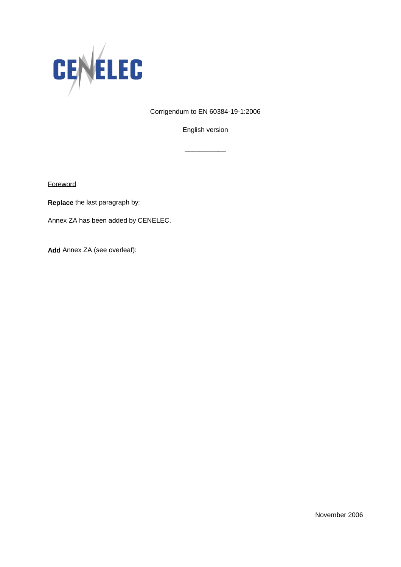

Corrigendum to EN 60384-19-1:2006

English version

\_\_\_\_\_\_\_\_\_\_\_

**Foreword** 

**Replace** the last paragraph by:

Annex ZA has been added by CENELEC.

**Add** Annex ZA (see overleaf):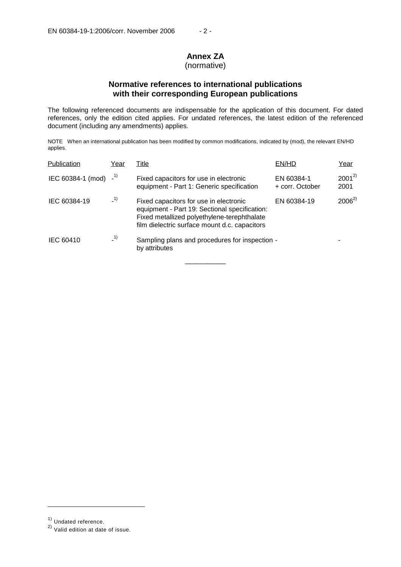# **Annex ZA**

## (normative)

## **Normative references to international publications with their corresponding European publications**

The following referenced documents are indispensable for the application of this document. For dated references, only the edition cited applies. For undated references, the latest edition of the referenced document (including any amendments) applies.

NOTE When an international publication has been modified by common modifications, indicated by (mod), the relevant EN/HD applies.

| Publication       | Year  | Title                                                                                                                                                                                   | EN/HD                         | Year               |
|-------------------|-------|-----------------------------------------------------------------------------------------------------------------------------------------------------------------------------------------|-------------------------------|--------------------|
| IEC 60384-1 (mod) | $-1)$ | Fixed capacitors for use in electronic<br>equipment - Part 1: Generic specification                                                                                                     | EN 60384-1<br>+ corr. October | $2001^{2}$<br>2001 |
| IEC 60384-19      | $-1)$ | Fixed capacitors for use in electronic<br>equipment - Part 19: Sectional specification:<br>Fixed metallized polyethylene-terephthalate<br>film dielectric surface mount d.c. capacitors | EN 60384-19                   | $2006^{2}$         |
| IEC 60410         | $-1)$ | Sampling plans and procedures for inspection -<br>by attributes                                                                                                                         |                               |                    |

\_\_\_\_\_\_\_\_\_\_\_

j

<sup>1)</sup> Undated reference.

<sup>2)</sup> Valid edition at date of issue.